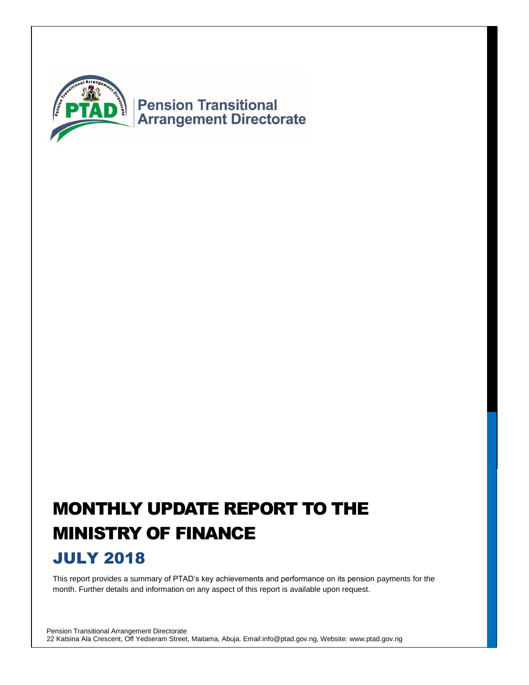

# MONTHLY UPDATE REPORT TO THE MINISTRY OF FINANCE

### JULY 2018

This report provides a summary of PTAD's key achievements and performance on its pension payments for the month. Further details and information on any aspect of this report is available upon request.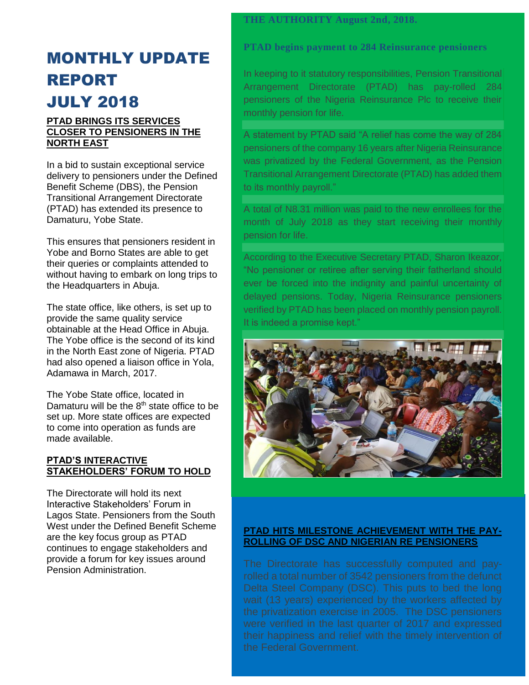#### **THE AUTHORITY August 2nd, 2018.**

## MONTHLY UPDATE REPORT JULY 2018

#### **PTAD BRINGS ITS SERVICES CLOSER TO PENSIONERS IN THE NORTH EAST**

In a bid to sustain exceptional service delivery to pensioners under the Defined Benefit Scheme (DBS), the Pension Transitional Arrangement Directorate (PTAD) has extended its presence to Damaturu, Yobe State.

This ensures that pensioners resident in Yobe and Borno States are able to get their queries or complaints attended to without having to embark on long trips to the Headquarters in Abuja.

The state office, like others, is set up to provide the same quality service obtainable at the Head Office in Abuja. The Yobe office is the second of its kind in the North East zone of Nigeria. PTAD had also opened a liaison office in Yola, Adamawa in March, 2017.

The Yobe State office, located in Damaturu will be the  $8<sup>th</sup>$  state office to be set up. More state offices are expected to come into operation as funds are made available.

#### **PTAD'S INTERACTIVE STAKEHOLDERS' FORUM TO HOLD**

The Directorate will hold its next Interactive Stakeholders' Forum in Lagos State. Pensioners from the South West under the Defined Benefit Scheme are the key focus group as PTAD continues to engage stakeholders and provide a forum for key issues around Pension Administration.

**PTAD begins payment to 284 Reinsurance pensioners**

In keeping to it statutory responsibilities, Pension Transitional Arrangement Directorate (PTAD) has pay-rolled 284 pensioners of the Nigeria Reinsurance Plc to receive their monthly pension for life.

A statement by PTAD said "A relief has come the way of 284 pensioners of the company 16 years after Nigeria Reinsurance was privatized by the Federal Government, as the Pension Transitional Arrangement Directorate (PTAD) has added them to its monthly payroll."

A total of N8.31 million was paid to the new enrollees for the month of July 2018 as they start receiving their monthly pension for life.

According to the Executive Secretary PTAD, Sharon Ikeazor, "No pensioner or retiree after serving their fatherland should ever be forced into the indignity and painful uncertainty of delayed pensions. Today, Nigeria Reinsurance pensioners verified by PTAD has been placed on monthly pension payroll. It is indeed a promise kept."



#### **PTAD HITS MILESTONE ACHIEVEMENT WITH THE PAY-ROLLING OF DSC AND NIGERIAN RE PENSIONERS**

rolled a total number of 3542 pensioners from the defunct Delta Steel Company (DSC). This puts to bed the long the privatization exercise in 2005. The DSC pensioners were verified in the last quarter of 2017 and expressed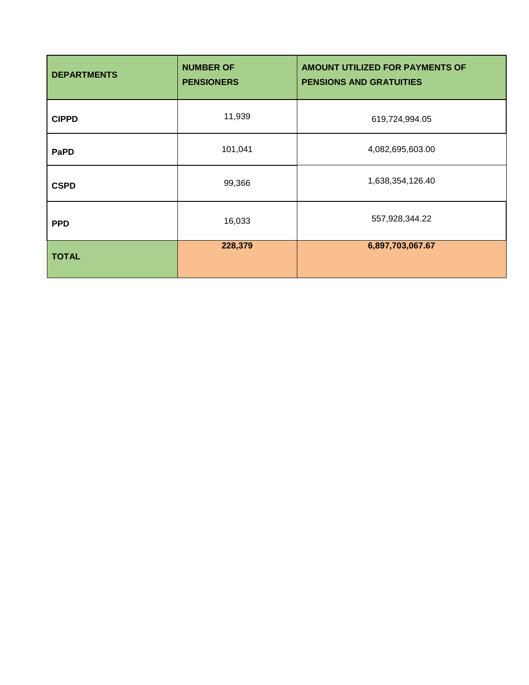| <b>DEPARTMENTS</b> | <b>NUMBER OF</b><br><b>PENSIONERS</b> | <b>AMOUNT UTILIZED FOR PAYMENTS OF</b><br><b>PENSIONS AND GRATUITIES</b> |  |  |
|--------------------|---------------------------------------|--------------------------------------------------------------------------|--|--|
| <b>CIPPD</b>       | 11,939                                | 619,724,994.05                                                           |  |  |
| <b>PaPD</b>        | 101,041                               | 4,082,695,603.00                                                         |  |  |
| <b>CSPD</b>        | 99,366                                | 1,638,354,126.40                                                         |  |  |
| <b>PPD</b>         | 16,033                                | 557,928,344.22                                                           |  |  |
| <b>TOTAL</b>       | 228,379                               | 6,897,703,067.67                                                         |  |  |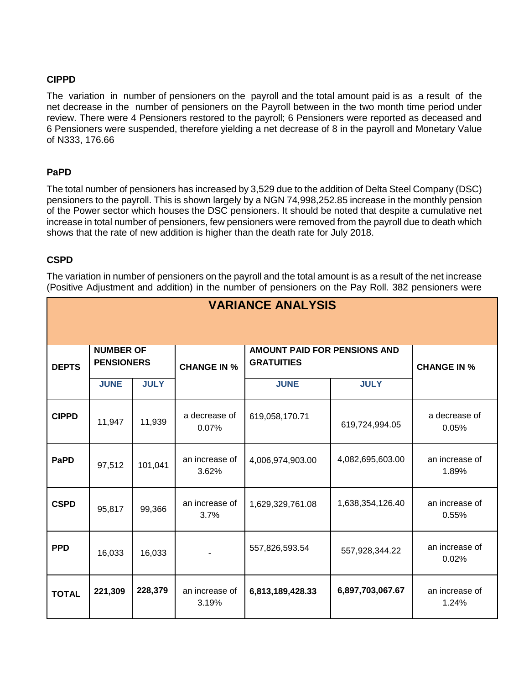#### **CIPPD**

The variation in number of pensioners on the payroll and the total amount paid is as a result of the net decrease in the number of pensioners on the Payroll between in the two month time period under review. There were 4 Pensioners restored to the payroll; 6 Pensioners were reported as deceased and 6 Pensioners were suspended, therefore yielding a net decrease of 8 in the payroll and Monetary Value of N333, 176.66

#### **PaPD**

The total number of pensioners has increased by 3,529 due to the addition of Delta Steel Company (DSC) pensioners to the payroll. This is shown largely by a NGN 74,998,252.85 increase in the monthly pension of the Power sector which houses the DSC pensioners. It should be noted that despite a cumulative net increase in total number of pensioners, few pensioners were removed from the payroll due to death which shows that the rate of new addition is higher than the death rate for July 2018.

#### **CSPD**

The variation in number of pensioners on the payroll and the total amount is as a result of the net increase (Positive Adjustment and addition) in the number of pensioners on the Pay Roll. 382 pensioners were

| <b>VARIANCE ANALYSIS</b> |                                       |             |                         |                                                          |                    |                         |
|--------------------------|---------------------------------------|-------------|-------------------------|----------------------------------------------------------|--------------------|-------------------------|
| <b>DEPTS</b>             | <b>NUMBER OF</b><br><b>PENSIONERS</b> |             | <b>CHANGE IN %</b>      | <b>AMOUNT PAID FOR PENSIONS AND</b><br><b>GRATUITIES</b> | <b>CHANGE IN %</b> |                         |
|                          | <b>JUNE</b>                           | <b>JULY</b> |                         | <b>JUNE</b>                                              | <b>JULY</b>        |                         |
| <b>CIPPD</b>             | 11,947                                | 11,939      | a decrease of<br>0.07%  | 619,058,170.71                                           | 619,724,994.05     | a decrease of<br>0.05%  |
| <b>PaPD</b>              | 97,512                                | 101,041     | an increase of<br>3.62% | 4,006,974,903.00                                         | 4,082,695,603.00   | an increase of<br>1.89% |
| <b>CSPD</b>              | 95,817                                | 99,366      | an increase of<br>3.7%  | 1,629,329,761.08                                         | 1,638,354,126.40   | an increase of<br>0.55% |
| <b>PPD</b>               | 16,033                                | 16,033      |                         | 557,826,593.54                                           | 557,928,344.22     | an increase of<br>0.02% |
| <b>TOTAL</b>             | 221,309                               | 228,379     | an increase of<br>3.19% | 6,813,189,428.33                                         | 6,897,703,067.67   | an increase of<br>1.24% |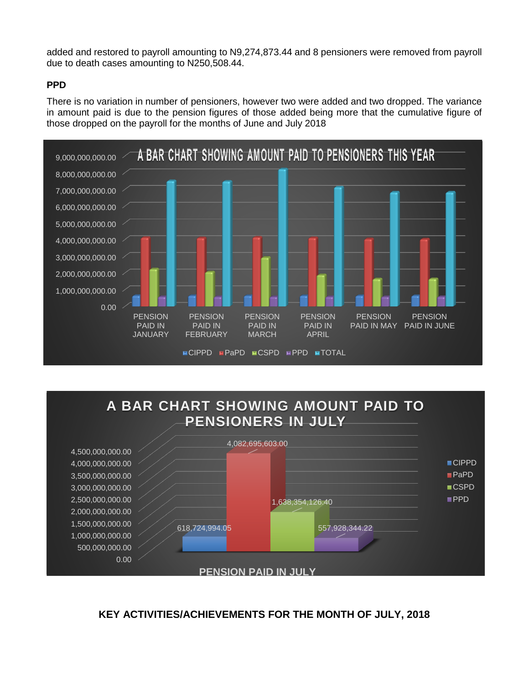added and restored to payroll amounting to N9,274,873.44 and 8 pensioners were removed from payroll due to death cases amounting to N250,508.44.

#### **PPD**

There is no variation in number of pensioners, however two were added and two dropped. The variance in amount paid is due to the pension figures of those added being more that the cumulative figure of those dropped on the payroll for the months of June and July 2018





#### **KEY ACTIVITIES/ACHIEVEMENTS FOR THE MONTH OF JULY, 2018**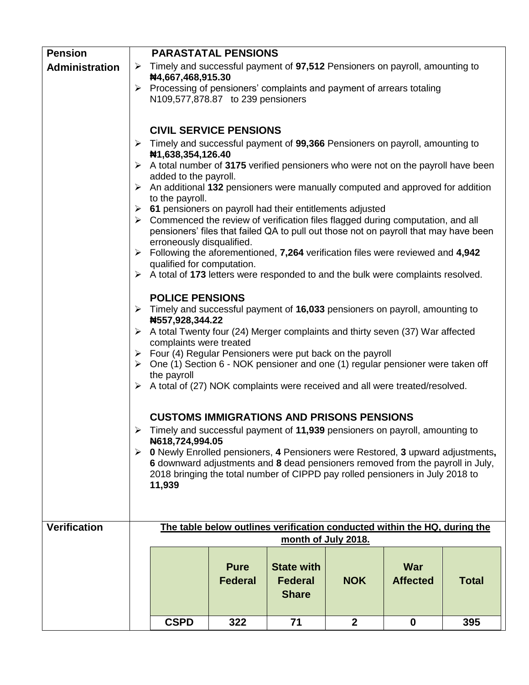| <b>Pension</b>        |                       | <b>PARASTATAL PENSIONS</b>                                                                                                                                                              |                                                                                                                                                                                                                                                                                                                                                                                                                                                                                                                                                                                                                                                                                                                                                                                                                                                                                                                                                                                                                                                      |                                                                           |              |                               |              |  |
|-----------------------|-----------------------|-----------------------------------------------------------------------------------------------------------------------------------------------------------------------------------------|------------------------------------------------------------------------------------------------------------------------------------------------------------------------------------------------------------------------------------------------------------------------------------------------------------------------------------------------------------------------------------------------------------------------------------------------------------------------------------------------------------------------------------------------------------------------------------------------------------------------------------------------------------------------------------------------------------------------------------------------------------------------------------------------------------------------------------------------------------------------------------------------------------------------------------------------------------------------------------------------------------------------------------------------------|---------------------------------------------------------------------------|--------------|-------------------------------|--------------|--|
| <b>Administration</b> | $\blacktriangleright$ |                                                                                                                                                                                         | Timely and successful payment of 97,512 Pensioners on payroll, amounting to<br>#4,667,468,915.30                                                                                                                                                                                                                                                                                                                                                                                                                                                                                                                                                                                                                                                                                                                                                                                                                                                                                                                                                     |                                                                           |              |                               |              |  |
|                       | ➤                     | Processing of pensioners' complaints and payment of arrears totaling<br>N109,577,878.87 to 239 pensioners                                                                               |                                                                                                                                                                                                                                                                                                                                                                                                                                                                                                                                                                                                                                                                                                                                                                                                                                                                                                                                                                                                                                                      |                                                                           |              |                               |              |  |
|                       |                       |                                                                                                                                                                                         |                                                                                                                                                                                                                                                                                                                                                                                                                                                                                                                                                                                                                                                                                                                                                                                                                                                                                                                                                                                                                                                      |                                                                           |              |                               |              |  |
|                       |                       | <b>CIVIL SERVICE PENSIONS</b>                                                                                                                                                           |                                                                                                                                                                                                                                                                                                                                                                                                                                                                                                                                                                                                                                                                                                                                                                                                                                                                                                                                                                                                                                                      |                                                                           |              |                               |              |  |
|                       |                       | $\triangleright$ Timely and successful payment of 99,366 Pensioners on payroll, amounting to<br>#1,638,354,126.40                                                                       |                                                                                                                                                                                                                                                                                                                                                                                                                                                                                                                                                                                                                                                                                                                                                                                                                                                                                                                                                                                                                                                      |                                                                           |              |                               |              |  |
|                       |                       | A total number of 3175 verified pensioners who were not on the payroll have been<br>added to the payroll.                                                                               |                                                                                                                                                                                                                                                                                                                                                                                                                                                                                                                                                                                                                                                                                                                                                                                                                                                                                                                                                                                                                                                      |                                                                           |              |                               |              |  |
|                       | ➤                     | An additional 132 pensioners were manually computed and approved for addition<br>to the payroll.                                                                                        |                                                                                                                                                                                                                                                                                                                                                                                                                                                                                                                                                                                                                                                                                                                                                                                                                                                                                                                                                                                                                                                      |                                                                           |              |                               |              |  |
|                       | ➤                     | 61 pensioners on payroll had their entitlements adjusted                                                                                                                                |                                                                                                                                                                                                                                                                                                                                                                                                                                                                                                                                                                                                                                                                                                                                                                                                                                                                                                                                                                                                                                                      |                                                                           |              |                               |              |  |
|                       |                       | $\triangleright$ Commenced the review of verification files flagged during computation, and all<br>pensioners' files that failed QA to pull out those not on payroll that may have been |                                                                                                                                                                                                                                                                                                                                                                                                                                                                                                                                                                                                                                                                                                                                                                                                                                                                                                                                                                                                                                                      |                                                                           |              |                               |              |  |
|                       |                       | erroneously disqualified.<br>$\triangleright$ Following the aforementioned, 7,264 verification files were reviewed and 4,942                                                            |                                                                                                                                                                                                                                                                                                                                                                                                                                                                                                                                                                                                                                                                                                                                                                                                                                                                                                                                                                                                                                                      |                                                                           |              |                               |              |  |
|                       |                       | qualified for computation.                                                                                                                                                              |                                                                                                                                                                                                                                                                                                                                                                                                                                                                                                                                                                                                                                                                                                                                                                                                                                                                                                                                                                                                                                                      |                                                                           |              |                               |              |  |
|                       | ➤<br>➤<br>➤           | the payroll<br>11,939                                                                                                                                                                   | $\triangleright$ A total of 173 letters were responded to and the bulk were complaints resolved.<br><b>POLICE PENSIONS</b><br>$\triangleright$ Timely and successful payment of 16,033 pensioners on payroll, amounting to<br>#557,928,344.22<br>A total Twenty four (24) Merger complaints and thirty seven (37) War affected<br>complaints were treated<br>Four (4) Regular Pensioners were put back on the payroll<br>One (1) Section 6 - NOK pensioner and one (1) regular pensioner were taken off<br>$\triangleright$ A total of (27) NOK complaints were received and all were treated/resolved.<br><b>CUSTOMS IMMIGRATIONS AND PRISONS PENSIONS</b><br>$\triangleright$ Timely and successful payment of 11,939 pensioners on payroll, amounting to<br>N618,724,994.05<br>$\triangleright$ 0 Newly Enrolled pensioners, 4 Pensioners were Restored, 3 upward adjustments,<br>6 downward adjustments and 8 dead pensioners removed from the payroll in July,<br>2018 bringing the total number of CIPPD pay rolled pensioners in July 2018 to |                                                                           |              |                               |              |  |
| <b>Verification</b>   |                       |                                                                                                                                                                                         |                                                                                                                                                                                                                                                                                                                                                                                                                                                                                                                                                                                                                                                                                                                                                                                                                                                                                                                                                                                                                                                      | The table below outlines verification conducted within the HQ, during the |              |                               |              |  |
|                       |                       |                                                                                                                                                                                         |                                                                                                                                                                                                                                                                                                                                                                                                                                                                                                                                                                                                                                                                                                                                                                                                                                                                                                                                                                                                                                                      | month of July 2018.                                                       |              |                               |              |  |
|                       |                       |                                                                                                                                                                                         | <b>Pure</b><br><b>Federal</b>                                                                                                                                                                                                                                                                                                                                                                                                                                                                                                                                                                                                                                                                                                                                                                                                                                                                                                                                                                                                                        | <b>State with</b><br><b>Federal</b><br><b>Share</b>                       | <b>NOK</b>   | <b>War</b><br><b>Affected</b> | <b>Total</b> |  |
|                       |                       | <b>CSPD</b>                                                                                                                                                                             | 322                                                                                                                                                                                                                                                                                                                                                                                                                                                                                                                                                                                                                                                                                                                                                                                                                                                                                                                                                                                                                                                  | 71                                                                        | $\mathbf{2}$ | $\mathbf 0$                   | 395          |  |
|                       |                       |                                                                                                                                                                                         |                                                                                                                                                                                                                                                                                                                                                                                                                                                                                                                                                                                                                                                                                                                                                                                                                                                                                                                                                                                                                                                      |                                                                           |              |                               |              |  |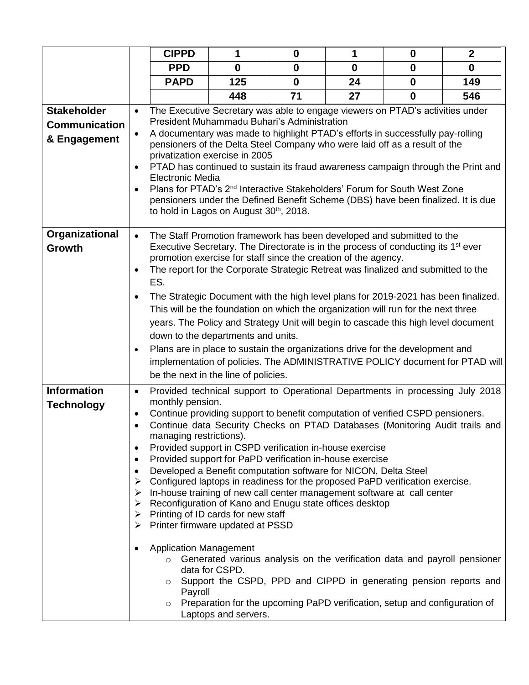|                      |           | <b>CIPPD</b>                                                                                                                                                                                                                                                                       | 1                    | $\mathbf{0}$                                                                                  | 1        | $\mathbf 0$  | $\boldsymbol{2}$                                                              |
|----------------------|-----------|------------------------------------------------------------------------------------------------------------------------------------------------------------------------------------------------------------------------------------------------------------------------------------|----------------------|-----------------------------------------------------------------------------------------------|----------|--------------|-------------------------------------------------------------------------------|
|                      |           | <b>PPD</b>                                                                                                                                                                                                                                                                         | $\mathbf 0$          | $\mathbf 0$                                                                                   | $\bf{0}$ | $\mathbf 0$  | $\mathbf 0$                                                                   |
|                      |           | <b>PAPD</b>                                                                                                                                                                                                                                                                        | 125                  | $\mathbf{0}$                                                                                  | 24       | $\mathbf{0}$ | 149                                                                           |
|                      |           |                                                                                                                                                                                                                                                                                    | 448                  | 71                                                                                            | 27       | $\mathbf{0}$ | 546                                                                           |
| <b>Stakeholder</b>   | $\bullet$ | The Executive Secretary was able to engage viewers on PTAD's activities under                                                                                                                                                                                                      |                      |                                                                                               |          |              |                                                                               |
| <b>Communication</b> |           |                                                                                                                                                                                                                                                                                    |                      | President Muhammadu Buhari's Administration                                                   |          |              |                                                                               |
| & Engagement         | ٠         | A documentary was made to highlight PTAD's efforts in successfully pay-rolling<br>pensioners of the Delta Steel Company who were laid off as a result of the<br>privatization exercise in 2005<br>PTAD has continued to sustain its fraud awareness campaign through the Print and |                      |                                                                                               |          |              |                                                                               |
|                      | $\bullet$ | Electronic Media                                                                                                                                                                                                                                                                   |                      |                                                                                               |          |              |                                                                               |
|                      | $\bullet$ | Plans for PTAD's 2 <sup>nd</sup> Interactive Stakeholders' Forum for South West Zone<br>pensioners under the Defined Benefit Scheme (DBS) have been finalized. It is due<br>to hold in Lagos on August 30 <sup>th</sup> , 2018.                                                    |                      |                                                                                               |          |              |                                                                               |
| Organizational       | $\bullet$ | The Staff Promotion framework has been developed and submitted to the                                                                                                                                                                                                              |                      |                                                                                               |          |              |                                                                               |
| Growth               |           |                                                                                                                                                                                                                                                                                    |                      | Executive Secretary. The Directorate is in the process of conducting its 1 <sup>st</sup> ever |          |              |                                                                               |
|                      | $\bullet$ | The report for the Corporate Strategic Retreat was finalized and submitted to the                                                                                                                                                                                                  |                      | promotion exercise for staff since the creation of the agency.                                |          |              |                                                                               |
|                      |           | ES.                                                                                                                                                                                                                                                                                |                      |                                                                                               |          |              |                                                                               |
|                      | $\bullet$ | The Strategic Document with the high level plans for 2019-2021 has been finalized.                                                                                                                                                                                                 |                      |                                                                                               |          |              |                                                                               |
|                      |           |                                                                                                                                                                                                                                                                                    |                      | This will be the foundation on which the organization will run for the next three             |          |              |                                                                               |
|                      |           | years. The Policy and Strategy Unit will begin to cascade this high level document                                                                                                                                                                                                 |                      |                                                                                               |          |              |                                                                               |
|                      |           | down to the departments and units.                                                                                                                                                                                                                                                 |                      |                                                                                               |          |              |                                                                               |
|                      | $\bullet$ | Plans are in place to sustain the organizations drive for the development and                                                                                                                                                                                                      |                      |                                                                                               |          |              |                                                                               |
|                      |           | implementation of policies. The ADMINISTRATIVE POLICY document for PTAD will                                                                                                                                                                                                       |                      |                                                                                               |          |              |                                                                               |
|                      |           | be the next in the line of policies.                                                                                                                                                                                                                                               |                      |                                                                                               |          |              |                                                                               |
| <b>Information</b>   | $\bullet$ |                                                                                                                                                                                                                                                                                    |                      |                                                                                               |          |              | Provided technical support to Operational Departments in processing July 2018 |
| <b>Technology</b>    | ٠         | monthly pension.<br>Continue providing support to benefit computation of verified CSPD pensioners.                                                                                                                                                                                 |                      |                                                                                               |          |              |                                                                               |
|                      | $\bullet$ | managing restrictions).                                                                                                                                                                                                                                                            |                      |                                                                                               |          |              | Continue data Security Checks on PTAD Databases (Monitoring Audit trails and  |
|                      | ٠         | Provided support in CSPD verification in-house exercise                                                                                                                                                                                                                            |                      |                                                                                               |          |              |                                                                               |
|                      | ٠         | Provided support for PaPD verification in-house exercise                                                                                                                                                                                                                           |                      |                                                                                               |          |              |                                                                               |
|                      | ٠         | Developed a Benefit computation software for NICON, Delta Steel                                                                                                                                                                                                                    |                      |                                                                                               |          |              |                                                                               |
|                      | ➤<br>➤    | Configured laptops in readiness for the proposed PaPD verification exercise.<br>In-house training of new call center management software at call center                                                                                                                            |                      |                                                                                               |          |              |                                                                               |
|                      | ➤         | Reconfiguration of Kano and Enugu state offices desktop                                                                                                                                                                                                                            |                      |                                                                                               |          |              |                                                                               |
|                      | ≻         | Printing of ID cards for new staff                                                                                                                                                                                                                                                 |                      |                                                                                               |          |              |                                                                               |
|                      | ➤         | Printer firmware updated at PSSD                                                                                                                                                                                                                                                   |                      |                                                                                               |          |              |                                                                               |
|                      | ٠         | <b>Application Management</b>                                                                                                                                                                                                                                                      |                      |                                                                                               |          |              |                                                                               |
|                      |           | $\circ$                                                                                                                                                                                                                                                                            | data for CSPD.       |                                                                                               |          |              | Generated various analysis on the verification data and payroll pensioner     |
|                      |           | $\circ$<br>Payroll                                                                                                                                                                                                                                                                 |                      |                                                                                               |          |              | Support the CSPD, PPD and CIPPD in generating pension reports and             |
|                      |           | O                                                                                                                                                                                                                                                                                  |                      | Preparation for the upcoming PaPD verification, setup and configuration of                    |          |              |                                                                               |
|                      |           |                                                                                                                                                                                                                                                                                    | Laptops and servers. |                                                                                               |          |              |                                                                               |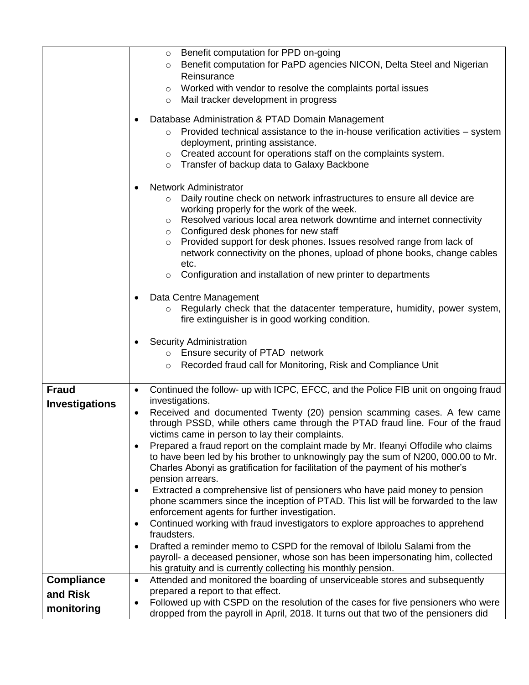|                        | Benefit computation for PPD on-going<br>$\circ$                                                                                     |
|------------------------|-------------------------------------------------------------------------------------------------------------------------------------|
|                        | Benefit computation for PaPD agencies NICON, Delta Steel and Nigerian<br>$\circ$                                                    |
|                        | Reinsurance                                                                                                                         |
|                        | Worked with vendor to resolve the complaints portal issues<br>$\circ$                                                               |
|                        | Mail tracker development in progress<br>$\circ$                                                                                     |
|                        |                                                                                                                                     |
|                        | Database Administration & PTAD Domain Management                                                                                    |
|                        | Provided technical assistance to the in-house verification activities - system<br>$\circ$                                           |
|                        | deployment, printing assistance.                                                                                                    |
|                        | Created account for operations staff on the complaints system.<br>O                                                                 |
|                        | Transfer of backup data to Galaxy Backbone<br>$\circ$                                                                               |
|                        |                                                                                                                                     |
|                        | <b>Network Administrator</b>                                                                                                        |
|                        | Daily routine check on network infrastructures to ensure all device are<br>$\circ$                                                  |
|                        | working properly for the work of the week.                                                                                          |
|                        | Resolved various local area network downtime and internet connectivity<br>$\circ$                                                   |
|                        | Configured desk phones for new staff<br>$\circ$                                                                                     |
|                        | Provided support for desk phones. Issues resolved range from lack of<br>$\circ$                                                     |
|                        | network connectivity on the phones, upload of phone books, change cables<br>etc.                                                    |
|                        | Configuration and installation of new printer to departments<br>$\circ$                                                             |
|                        |                                                                                                                                     |
|                        | Data Centre Management<br>$\bullet$                                                                                                 |
|                        | Regularly check that the datacenter temperature, humidity, power system,<br>$\circ$                                                 |
|                        | fire extinguisher is in good working condition.                                                                                     |
|                        |                                                                                                                                     |
|                        |                                                                                                                                     |
|                        | ٠                                                                                                                                   |
|                        | <b>Security Administration</b><br>o Ensure security of PTAD network                                                                 |
|                        | Recorded fraud call for Monitoring, Risk and Compliance Unit<br>$\circ$                                                             |
|                        |                                                                                                                                     |
| <b>Fraud</b>           | $\bullet$                                                                                                                           |
|                        | Continued the follow- up with ICPC, EFCC, and the Police FIB unit on ongoing fraud<br>investigations.                               |
| <b>Investigations</b>  | Received and documented Twenty (20) pension scamming cases. A few came<br>$\bullet$                                                 |
|                        | through PSSD, while others came through the PTAD fraud line. Four of the fraud                                                      |
|                        | victims came in person to lay their complaints.                                                                                     |
|                        | Prepared a fraud report on the complaint made by Mr. Ifeanyi Offodile who claims<br>$\bullet$                                       |
|                        | to have been led by his brother to unknowingly pay the sum of N200, 000.00 to Mr.                                                   |
|                        | Charles Abonyi as gratification for facilitation of the payment of his mother's                                                     |
|                        | pension arrears.                                                                                                                    |
|                        | Extracted a comprehensive list of pensioners who have paid money to pension<br>٠                                                    |
|                        | phone scammers since the inception of PTAD. This list will be forwarded to the law                                                  |
|                        | enforcement agents for further investigation.                                                                                       |
|                        | Continued working with fraud investigators to explore approaches to apprehend<br>$\bullet$                                          |
|                        | fraudsters.                                                                                                                         |
|                        | Drafted a reminder memo to CSPD for the removal of Ibilolu Salami from the<br>٠                                                     |
|                        | payroll- a deceased pensioner, whose son has been impersonating him, collected                                                      |
|                        | his gratuity and is currently collecting his monthly pension.                                                                       |
| <b>Compliance</b>      | Attended and monitored the boarding of unserviceable stores and subsequently<br>$\bullet$                                           |
| and Risk<br>monitoring | prepared a report to that effect.<br>Followed up with CSPD on the resolution of the cases for five pensioners who were<br>$\bullet$ |